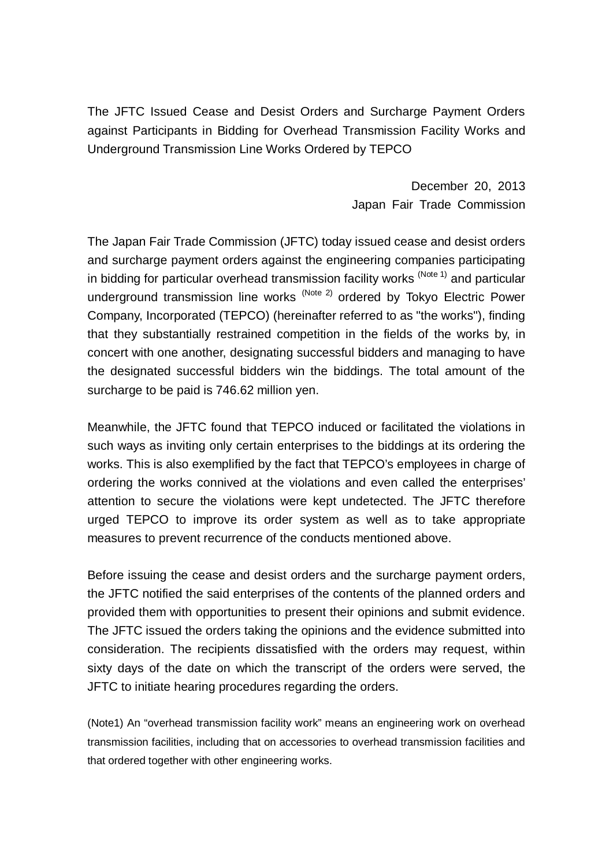The JFTC Issued Cease and Desist Orders and Surcharge Payment Orders against Participants in Bidding for Overhead Transmission Facility Works and Underground Transmission Line Works Ordered by TEPCO

> December 20, 2013 Japan Fair Trade Commission

The Japan Fair Trade Commission (JFTC) today issued cease and desist orders and surcharge payment orders against the engineering companies participating in bidding for particular overhead transmission facility works  $(Note 1)$  and particular underground transmission line works (Note 2) ordered by Tokyo Electric Power Company, Incorporated (TEPCO) (hereinafter referred to as "the works"), finding that they substantially restrained competition in the fields of the works by, in concert with one another, designating successful bidders and managing to have the designated successful bidders win the biddings. The total amount of the surcharge to be paid is 746.62 million yen.

Meanwhile, the JFTC found that TEPCO induced or facilitated the violations in such ways as inviting only certain enterprises to the biddings at its ordering the works. This is also exemplified by the fact that TEPCO's employees in charge of ordering the works connived at the violations and even called the enterprises' attention to secure the violations were kept undetected. The JFTC therefore urged TEPCO to improve its order system as well as to take appropriate measures to prevent recurrence of the conducts mentioned above.

Before issuing the cease and desist orders and the surcharge payment orders, the JFTC notified the said enterprises of the contents of the planned orders and provided them with opportunities to present their opinions and submit evidence. The JFTC issued the orders taking the opinions and the evidence submitted into consideration. The recipients dissatisfied with the orders may request, within sixty days of the date on which the transcript of the orders were served, the JFTC to initiate hearing procedures regarding the orders.

(Note1) An "overhead transmission facility work" means an engineering work on overhead transmission facilities, including that on accessories to overhead transmission facilities and that ordered together with other engineering works.